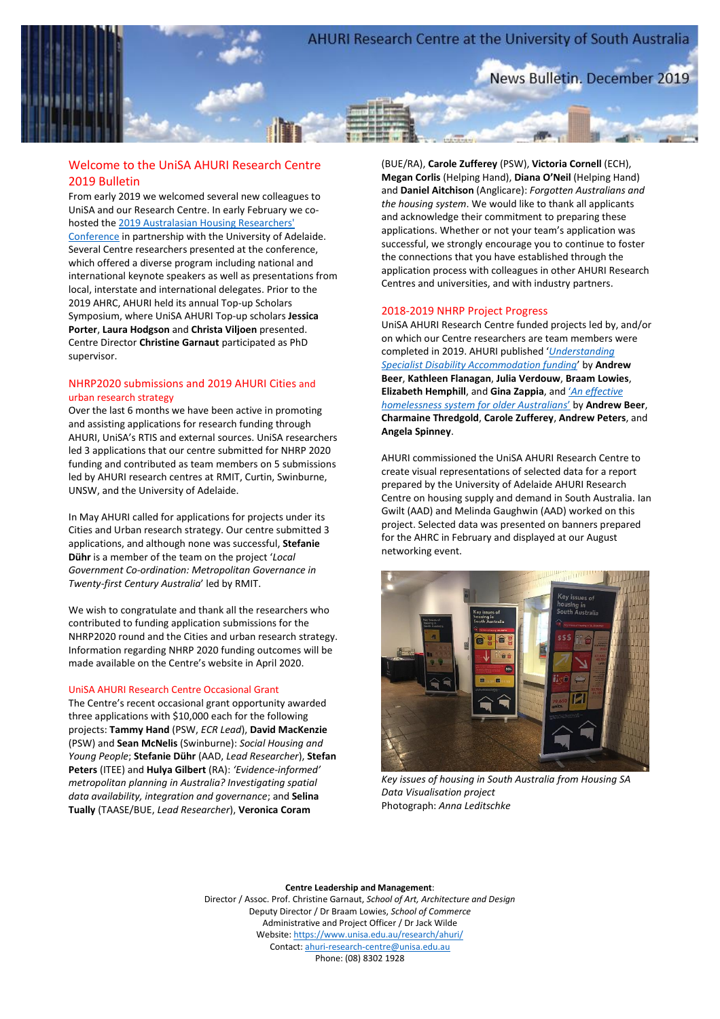

# Welcome to the UniSA AHURI Research Centre 2019 Bulletin

From early 2019 we welcomed several new colleagues to UniSA and our Research Centre. In early February we cohosted th[e 2019 Australasian Housing Researchers'](https://www.ahrc.org.au/)  [Conference](https://www.ahrc.org.au/) in partnership with the University of Adelaide. Several Centre researchers presented at the conference, which offered a diverse program including national and international keynote speakers as well as presentations from local, interstate and international delegates. Prior to the 2019 AHRC, AHURI held its annual Top-up Scholars Symposium, where UniSA AHURI Top-up scholars **Jessica Porter**, **Laura Hodgson** and **Christa Viljoen** presented. Centre Director **Christine Garnaut** participated as PhD supervisor.

# NHRP2020 submissions and 2019 AHURI Cities and urban research strategy

Over the last 6 months we have been active in promoting and assisting applications for research funding through AHURI, UniSA's RTIS and external sources. UniSA researchers led 3 applications that our centre submitted for NHRP 2020 funding and contributed as team members on 5 submissions led by AHURI research centres at RMIT, Curtin, Swinburne, UNSW, and the University of Adelaide.

In May AHURI called for applications for projects under its Cities and Urban research strategy. Our centre submitted 3 applications, and although none was successful, **Stefanie Dühr** is a member of the team on the project '*Local Government Co-ordination: Metropolitan Governance in Twenty-first Century Australia*' led by RMIT.

We wish to congratulate and thank all the researchers who contributed to funding application submissions for the NHRP2020 round and the Cities and urban research strategy. Information regarding NHRP 2020 funding outcomes will be made available on the Centre's website in April 2020.

### UniSA AHURI Research Centre Occasional Grant

The Centre's recent occasional grant opportunity awarded three applications with \$10,000 each for the following projects: **Tammy Hand** (PSW, *ECR Lead*), **David MacKenzie** (PSW) and **Sean McNelis** (Swinburne): *Social Housing and Young People*; **Stefanie Dühr** (AAD, *Lead Researcher*), **Stefan Peters** (ITEE) and **Hulya Gilbert** (RA): *'Evidence-informed' metropolitan planning in Australia? Investigating spatial data availability, integration and governance*; and **Selina Tually** (TAASE/BUE, *Lead Researcher*), **Veronica Coram**

(BUE/RA), **Carole Zufferey** (PSW), **Victoria Cornell** (ECH), **Megan Corlis** (Helping Hand), **Diana O'Neil** (Helping Hand) and **Daniel Aitchison** (Anglicare): *Forgotten Australians and the housing system*. We would like to thank all applicants and acknowledge their commitment to preparing these applications. Whether or not your team's application was successful, we strongly encourage you to continue to foster the connections that you have established through the application process with colleagues in other AHURI Research Centres and universities, and with industry partners.

### 2018-2019 NHRP Project Progress

UniSA AHURI Research Centre funded projects led by, and/or on which our Centre researchers are team members were completed in 2019. AHURI published '*[Understanding](https://www.ahuri.edu.au/research/final-reports/310)  [Specialist Disability Accommodation funding](https://www.ahuri.edu.au/research/final-reports/310)*' by **Andrew Beer**, **Kathleen Flanagan**, **Julia Verdouw**, **Braam Lowies**, **Elizabeth Hemphill**, and **Gina Zappia**, and '*[An effective](https://www.ahuri.edu.au/research/research-in-progress/ahuri-inquiries/an-effective-homelessness-services-system)  [homelessness system for older Australians](https://www.ahuri.edu.au/research/research-in-progress/ahuri-inquiries/an-effective-homelessness-services-system)*' by **Andrew Beer**, **Charmaine Thredgold**, **Carole Zufferey**, **Andrew Peters**, and **Angela Spinney**.

AHURI commissioned the UniSA AHURI Research Centre to create visual representations of selected data for a report prepared by the University of Adelaide AHURI Research Centre on housing supply and demand in South Australia. Ian Gwilt (AAD) and Melinda Gaughwin (AAD) worked on this project. Selected data was presented on banners prepared for the AHRC in February and displayed at our August networking event.



*Key issues of housing in South Australia from Housing SA Data Visualisation project* Photograph: *Anna Leditschke*

#### **Centre Leadership and Management**:

Director / Assoc. Prof. Christine Garnaut, *School of Art, Architecture and Design* Deputy Director / Dr Braam Lowies, *School of Commerce* Administrative and Project Officer / Dr Jack Wilde Website:<https://www.unisa.edu.au/research/ahuri/> Contact: ahuri-research-centre@unisa.edu.au Phone: (08) 8302 1928